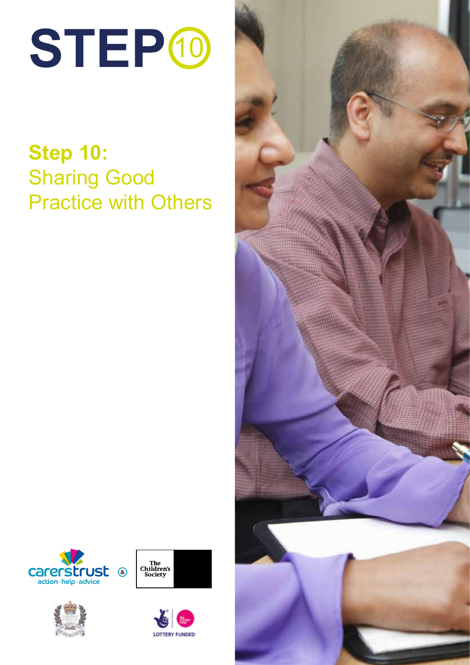

## **Step 10:** Sharing Good Practice with Others









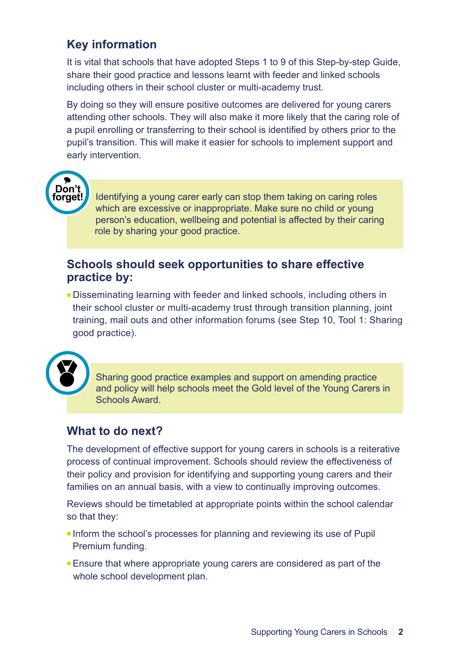## **Key information**

It is vital that schools that have adopted Steps 1 to 9 of this Step-by-step Guide, share their good practice and lessons learnt with feeder and linked schools including others in their school cluster or multi-academy trust.

By doing so they will ensure positive outcomes are delivered for young carers attending other schools. They will also make it more likely that the caring role of a pupil enrolling or transferring to their school is identified by others prior to the pupil's transition. This will make it easier for schools to implement support and early intervention.



Identifying a young carer early can stop them taking on caring roles which are excessive or inappropriate. Make sure no child or young person's education, wellbeing and potential is affected by their caring role by sharing your good practice.

## **Schools should seek opportunities to share effective practice by:**

• Disseminating learning with feeder and linked schools, including others in their school cluster or multi-academy trust through transition planning, joint training, mail outs and other information forums (see Step 10, Tool 1: Sharing good practice).



Sharing good practice examples and support on amending practice and policy will help schools meet the Gold level of the Young Carers in Schools Award.

## **What to do next?**

The development of effective support for young carers in schools is a reiterative process of continual improvement. Schools should review the effectiveness of their policy and provision for identifying and supporting young carers and their families on an annual basis, with a view to continually improving outcomes.

Reviews should be timetabled at appropriate points within the school calendar so that they:

- Inform the school's processes for planning and reviewing its use of Pupil Premium funding.
- Ensure that where appropriate young carers are considered as part of the whole school development plan.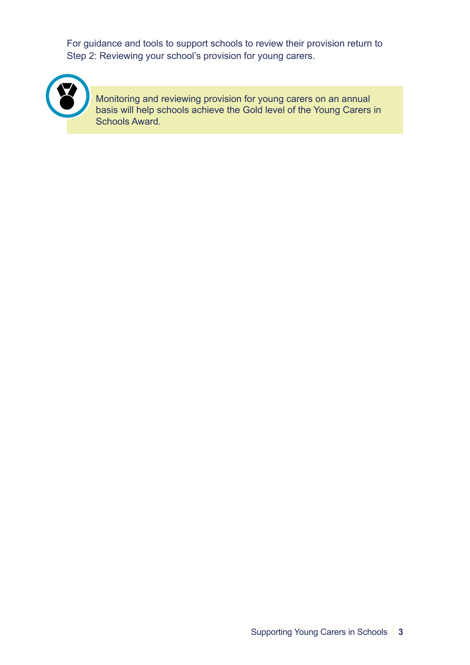For guidance and tools to support schools to review their provision return to Step 2: Reviewing your school's provision for young carers.



Monitoring and reviewing provision for young carers on an annual basis will help schools achieve the Gold level of the Young Carers in Schools Award.